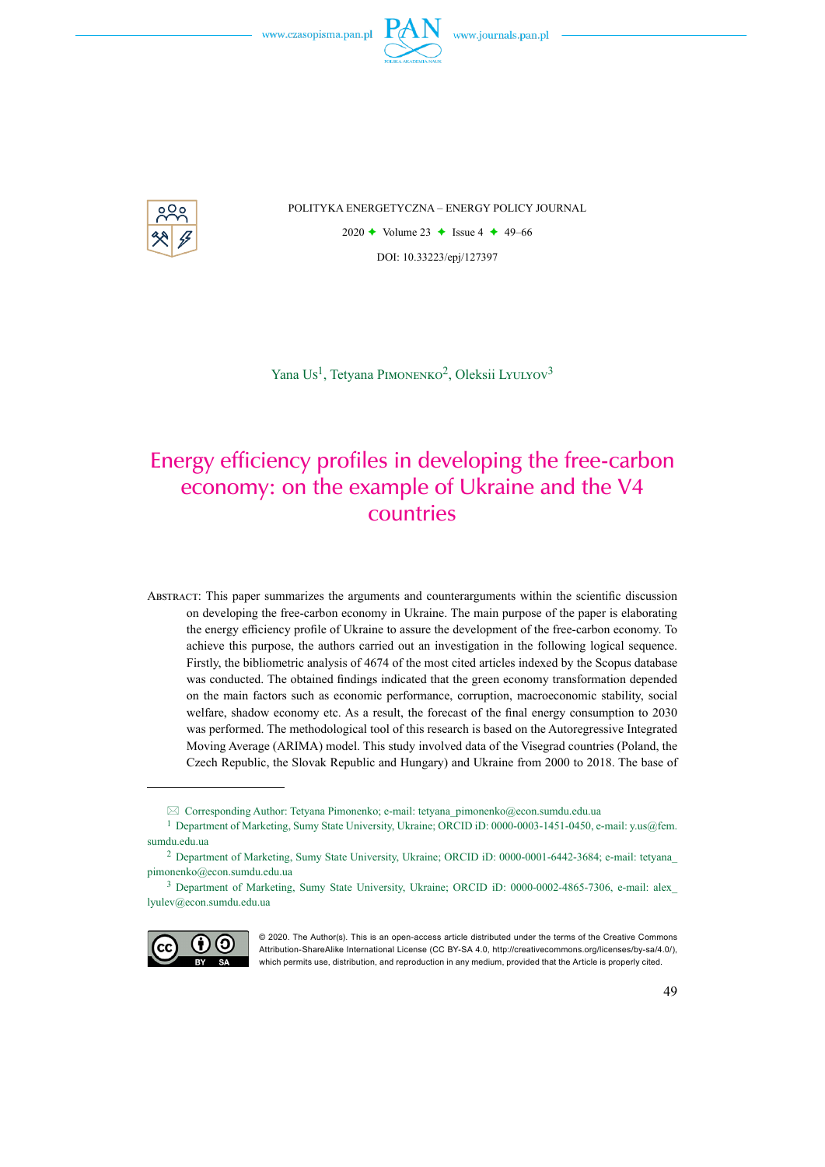

POLITYKA ENERGETYCZNA – ENERGY POLICY JOURNAL

2020  $\rightarrow$  Volume 23  $\rightarrow$  Issue 4  $\rightarrow$  49–66 DOI: 10.33223/epj/127397

Yana Us<sup>1</sup>, Tetyana PIMONENKO<sup>2</sup>, Oleksii LYULYOV<sup>3</sup>

# Energy efficiency profiles in developing the free-carbon economy: on the example of Ukraine and the V4 countries

Abstract: This paper summarizes the arguments and counterarguments within the scientific discussion on developing the free-carbon economy in Ukraine. The main purpose of the paper is elaborating the energy efficiency profile of Ukraine to assure the development of the free-carbon economy. To achieve this purpose, the authors carried out an investigation in the following logical sequence. Firstly, the bibliometric analysis of 4674 of the most cited articles indexed by the Scopus database was conducted. The obtained findings indicated that the green economy transformation depended on the main factors such as economic performance, corruption, macroeconomic stability, social welfare, shadow economy etc. As a result, the forecast of the final energy consumption to 2030 was performed. The methodological tool of this research is based on the Autoregressive Integrated Moving Average (ARIMA) model. This study involved data of the Visegrad countries (Poland, the Czech Republic, the Slovak Republic and Hungary) and Ukraine from 2000 to 2018. The base of

<sup>3</sup> Department of Marketing, Sumy State University, Ukraine; ORCID iD: 0000-0002-4865-7306, e-mail: alex\_ lyulev@econ.sumdu.edu.ua



<sup>© 2020.</sup> The Author(s). This is an open-access article distributed under the terms of the Creative Commons Attribution-ShareAlike International License (CC BY-SA 4.0, http://creativecommons.org/licenses/by-sa/4.0/), which permits use, distribution, and reproduction in any medium, provided that the Article is properly cited.

Corresponding Author: Tetyana Pimonenko; e-mail: tetyana\_pimonenko@econ.sumdu.edu.ua

<sup>1</sup> Department of Marketing, Sumy State University, Ukraine; ORCID iD: 0000-0003-1451-0450, e-mail: y.us@fem. sumdu.edu.ua

<sup>2</sup> Department of Marketing, Sumy State University, Ukraine; ORCID iD: 0000-0001-6442-3684; e-mail: tetyana\_ pimonenko@econ.sumdu.edu.ua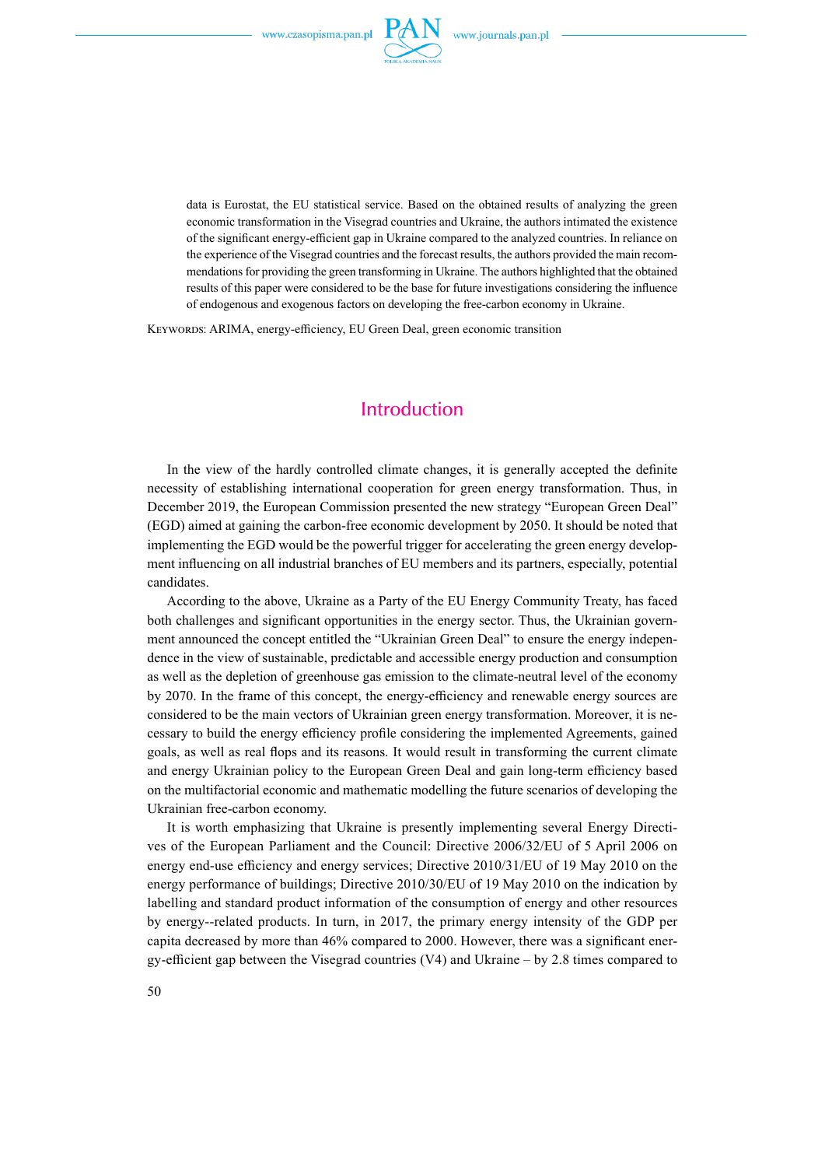

data is Eurostat, the EU statistical service. Based on the obtained results of analyzing the green economic transformation in the Visegrad countries and Ukraine, the authors intimated the existence of the significant energy-efficient gap in Ukraine compared to the analyzed countries. In reliance on the experience of the Visegrad countries and the forecast results, the authors provided the main recommendations for providing the green transforming in Ukraine. The authors highlighted that the obtained results of this paper were considered to be the base for future investigations considering the influence of endogenous and exogenous factors on developing the free-carbon economy in Ukraine.

KEYWORDS: ARIMA, energy-efficiency, EU Green Deal, green economic transition

## Introduction

In the view of the hardly controlled climate changes, it is generally accepted the definite necessity of establishing international cooperation for green energy transformation. Thus, in December 2019, the European Commission presented the new strategy "European Green Deal" (EGD) aimed at gaining the carbon-free economic development by 2050. It should be noted that implementing the EGD would be the powerful trigger for accelerating the green energy development influencing on all industrial branches of EU members and its partners, especially, potential candidates.

According to the above, Ukraine as a Party of the EU Energy Community Treaty, has faced both challenges and significant opportunities in the energy sector. Thus, the Ukrainian government announced the concept entitled the "Ukrainian Green Deal" to ensure the energy independence in the view of sustainable, predictable and accessible energy production and consumption as well as the depletion of greenhouse gas emission to the climate-neutral level of the economy by 2070. In the frame of this concept, the energy-efficiency and renewable energy sources are considered to be the main vectors of Ukrainian green energy transformation. Moreover, it is necessary to build the energy efficiency profile considering the implemented Agreements, gained goals, as well as real flops and its reasons. It would result in transforming the current climate and energy Ukrainian policy to the European Green Deal and gain long-term efficiency based on the multifactorial economic and mathematic modelling the future scenarios of developing the Ukrainian free-carbon economy.

It is worth emphasizing that Ukraine is presently implementing several Energy Directives of the European Parliament and the Council: Directive 2006/32/EU of 5 April 2006 on energy end-use efficiency and energy services; Directive 2010/31/EU of 19 May 2010 on the energy performance of buildings; Directive 2010/30/EU of 19 May 2010 on the indication by labelling and standard product information of the consumption of energy and other resources by energy--related products. In turn, in 2017, the primary energy intensity of the GDP per capita decreased by more than 46% compared to 2000. However, there was a significant energy-efficient gap between the Visegrad countries (V4) and Ukraine – by 2.8 times compared to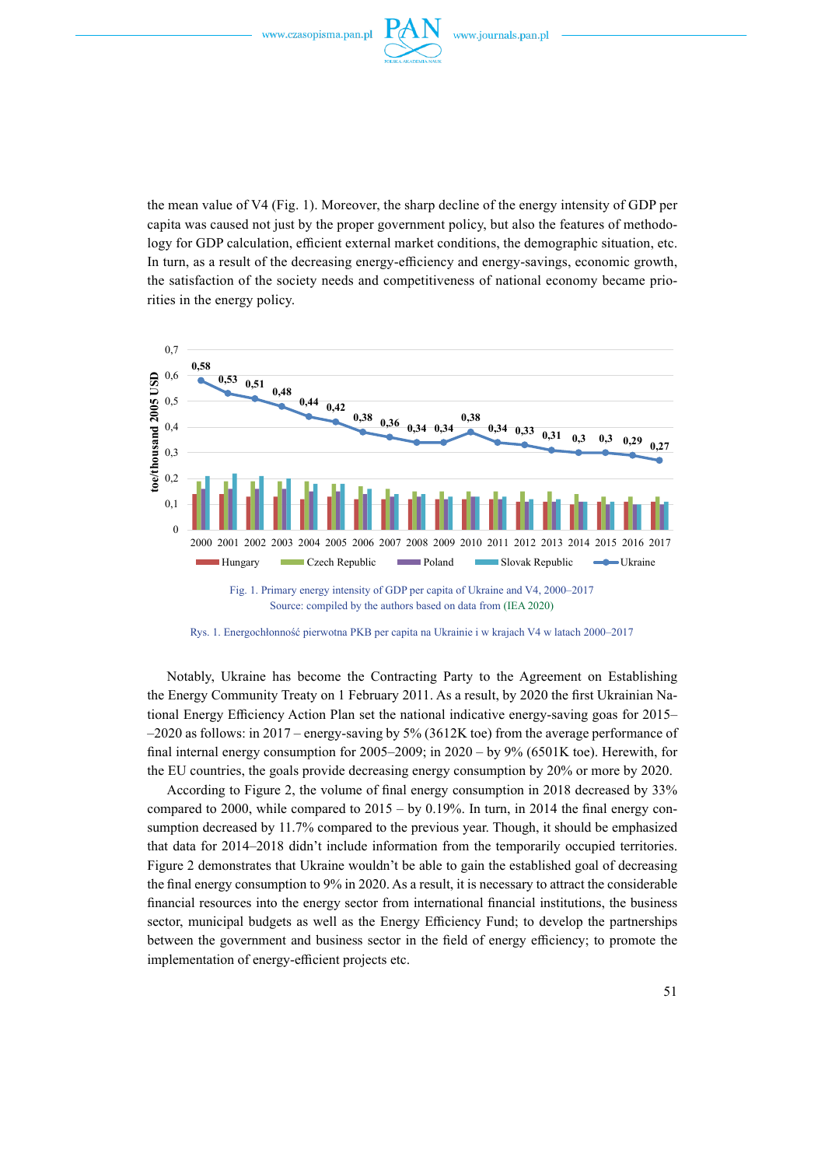

the mean value of V4 (Fig. 1). Moreover, the sharp decline of the energy intensity of GDP per capita was caused not just by the proper government policy, but also the features of methodology for GDP calculation, efficient external market conditions, the demographic situation, etc. In turn, as a result of the decreasing energy-efficiency and energy-savings, economic growth, the satisfaction of the society needs and competitiveness of national economy became priorities in the energy policy.



Source: compiled by the authors based on data from (IEA 2020)

Notably, Ukraine has become the Contracting Party to the Agreement on Establishing the Energy Community Treaty on 1 February 2011. As a result, by 2020 the first Ukrainian National Energy Efficiency Action Plan set the national indicative energy-saving goas for 2015–  $-2020$  as follows: in 2017 – energy-saving by 5% (3612K toe) from the average performance of final internal energy consumption for 2005–2009; in 2020 – by 9% (6501K toe). Herewith, for the EU countries, the goals provide decreasing energy consumption by 20% or more by 2020.

According to Figure 2, the volume of final energy consumption in 2018 decreased by 33% compared to 2000, while compared to  $2015 - by 0.19%$ . In turn, in 2014 the final energy consumption decreased by 11.7% compared to the previous year. Though, it should be emphasized that data for 2014–2018 didn't include information from the temporarily occupied territories. Figure 2 demonstrates that Ukraine wouldn't be able to gain the established goal of decreasing the final energy consumption to 9% in 2020. As a result, it is necessary to attract the considerable financial resources into the energy sector from international financial institutions, the business sector, municipal budgets as well as the Energy Efficiency Fund; to develop the partnerships between the government and business sector in the field of energy efficiency; to promote the implementation of energy-efficient projects etc.

Rys. 1. Energochłonność pierwotna PKB per capita na Ukrainie i w krajach V4 w latach 2000–2017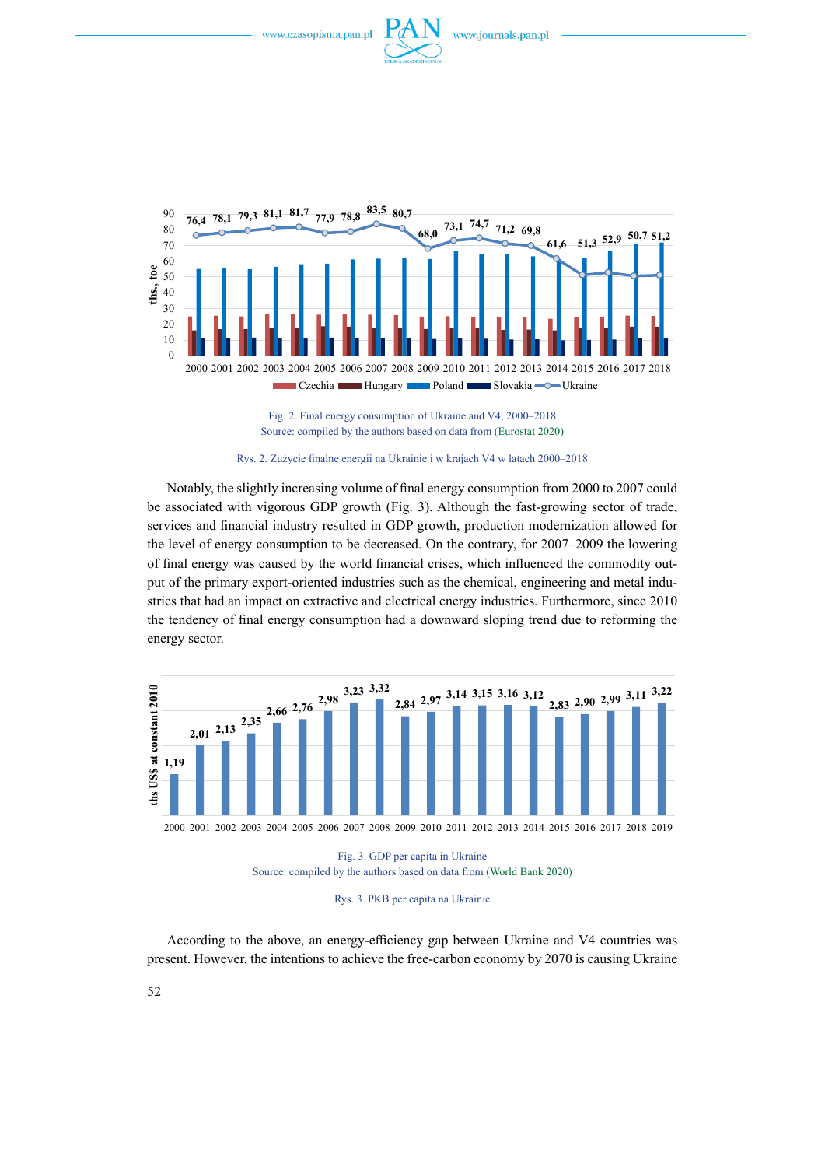





Notably, the slightly increasing volume of final energy consumption from 2000 to 2007 could be associated with vigorous GDP growth (Fig. 3). Although the fast-growing sector of trade, services and financial industry resulted in GDP growth, production modernization allowed for the level of energy consumption to be decreased. On the contrary, for 2007–2009 the lowering of final energy was caused by the world financial crises, which influenced the commodity output of the primary export-oriented industries such as the chemical, engineering and metal industries that had an impact on extractive and electrical energy industries. Furthermore, since 2010 the tendency of final energy consumption had a downward sloping trend due to reforming the energy sector.



Fig. 3. GDP per capita in Ukraine Source: compiled by the authors based on data from (World Bank 2020)



According to the above, an energy-efficiency gap between Ukraine and V4 countries was present. However, the intentions to achieve the free-carbon economy by 2070 is causing Ukraine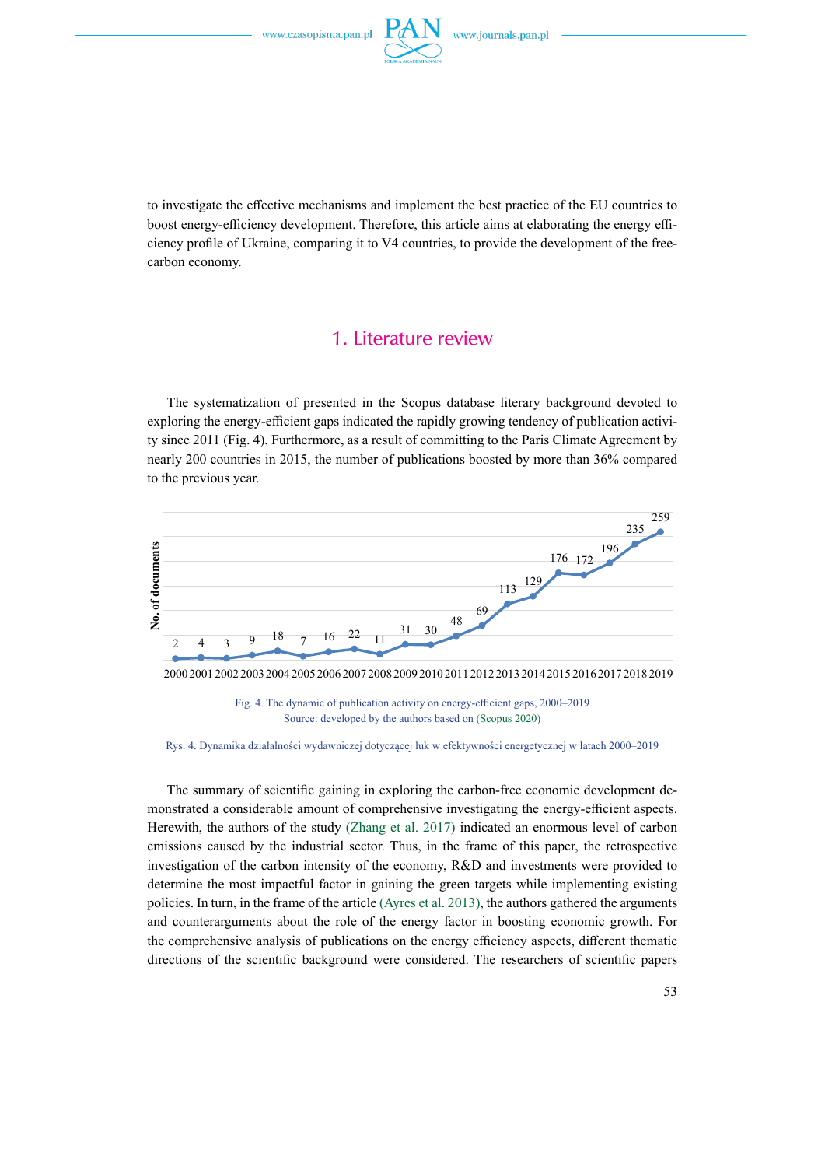

to investigate the effective mechanisms and implement the best practice of the EU countries to boost energy-efficiency development. Therefore, this article aims at elaborating the energy efficiency profile of Ukraine, comparing it to V4 countries, to provide the development of the freecarbon economy.

### 1. Literature review

The systematization of presented in the Scopus database literary background devoted to exploring the energy-efficient gaps indicated the rapidly growing tendency of publication activity since 2011 (Fig. 4). Furthermore, as a result of committing to the Paris Climate Agreement by nearly 200 countries in 2015, the number of publications boosted by more than 36% compared to the previous year.



Fig. 4. The dynamic of publication activity on energy-efficient gaps, 2000–2019 Source: developed by the authors based on (Scopus 2020)

Rys. 4. Dynamika działalności wydawniczej dotyczącej luk w efektywności energetycznej w latach 2000–2019

The summary of scientific gaining in exploring the carbon-free economic development demonstrated a considerable amount of comprehensive investigating the energy-efficient aspects. Herewith, the authors of the study (Zhang et al. 2017) indicated an enormous level of carbon emissions caused by the industrial sector. Thus, in the frame of this paper, the retrospective investigation of the carbon intensity of the economy, R&D and investments were provided to determine the most impactful factor in gaining the green targets while implementing existing policies. In turn, in the frame of the article (Ayres et al. 2013), the authors gathered the arguments and counterarguments about the role of the energy factor in boosting economic growth. For the comprehensive analysis of publications on the energy efficiency aspects, different thematic directions of the scientific background were considered. The researchers of scientific papers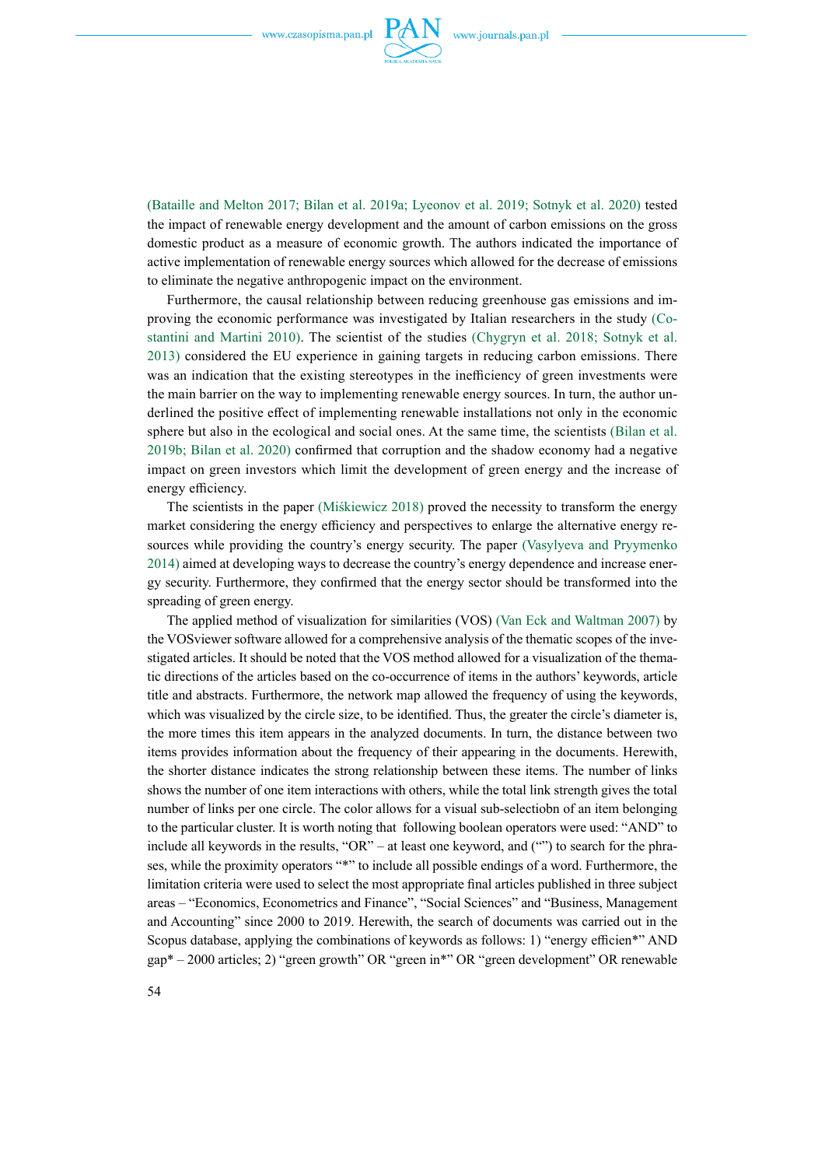

(Bataille and Melton 2017; Bilan et al. 2019a; Lyeonov et al. 2019; Sotnyk et al. 2020) tested the impact of renewable energy development and the amount of carbon emissions on the gross domestic product as a measure of economic growth. The authors indicated the importance of active implementation of renewable energy sources which allowed for the decrease of emissions to eliminate the negative anthropogenic impact on the environment.

Furthermore, the causal relationship between reducing greenhouse gas emissions and improving the economic performance was investigated by Italian researchers in the study (Costantini and Martini 2010). The scientist of the studies (Chygryn et al. 2018; Sotnyk et al. 2013) considered the EU experience in gaining targets in reducing carbon emissions. There was an indication that the existing stereotypes in the inefficiency of green investments were the main barrier on the way to implementing renewable energy sources. In turn, the author underlined the positive effect of implementing renewable installations not only in the economic sphere but also in the ecological and social ones. At the same time, the scientists (Bilan et al. 2019b; Bilan et al. 2020) confirmed that corruption and the shadow economy had a negative impact on green investors which limit the development of green energy and the increase of energy efficiency.

The scientists in the paper (Miśkiewicz 2018) proved the necessity to transform the energy market considering the energy efficiency and perspectives to enlarge the alternative energy resources while providing the country's energy security. The paper (Vasylyeva and Pryymenko 2014) aimed at developing ways to decrease the country's energy dependence and increase energy security. Furthermore, they confirmed that the energy sector should be transformed into the spreading of green energy.

The applied method of visualization for similarities (VOS) (Van Eck and Waltman 2007) by the VOSviewer software allowed for a comprehensive analysis of the thematic scopes of the investigated articles. It should be noted that the VOS method allowed for a visualization of the thematic directions of the articles based on the co-occurrence of items in the authors' keywords, article title and abstracts. Furthermore, the network map allowed the frequency of using the keywords, which was visualized by the circle size, to be identified. Thus, the greater the circle's diameter is, the more times this item appears in the analyzed documents. In turn, the distance between two items provides information about the frequency of their appearing in the documents. Herewith, the shorter distance indicates the strong relationship between these items. The number of links shows the number of one item interactions with others, while the total link strength gives the total number of links per one circle. The color allows for a visual sub-selectiobn of an item belonging to the particular cluster. It is worth noting that following boolean operators were used: "AND" to include all keywords in the results, "OR" – at least one keyword, and ("") to search for the phrases, while the proximity operators "\*" to include all possible endings of a word. Furthermore, the limitation criteria were used to select the most appropriate final articles published in three subject areas – "Economics, Econometrics and Finance", "Social Sciences" and "Business, Management and Accounting" since 2000 to 2019. Herewith, the search of documents was carried out in the Scopus database, applying the combinations of keywords as follows: 1) "energy efficien\*" AND gap\* – 2000 articles; 2) "green growth" OR "green in\*" OR "green development" OR renewable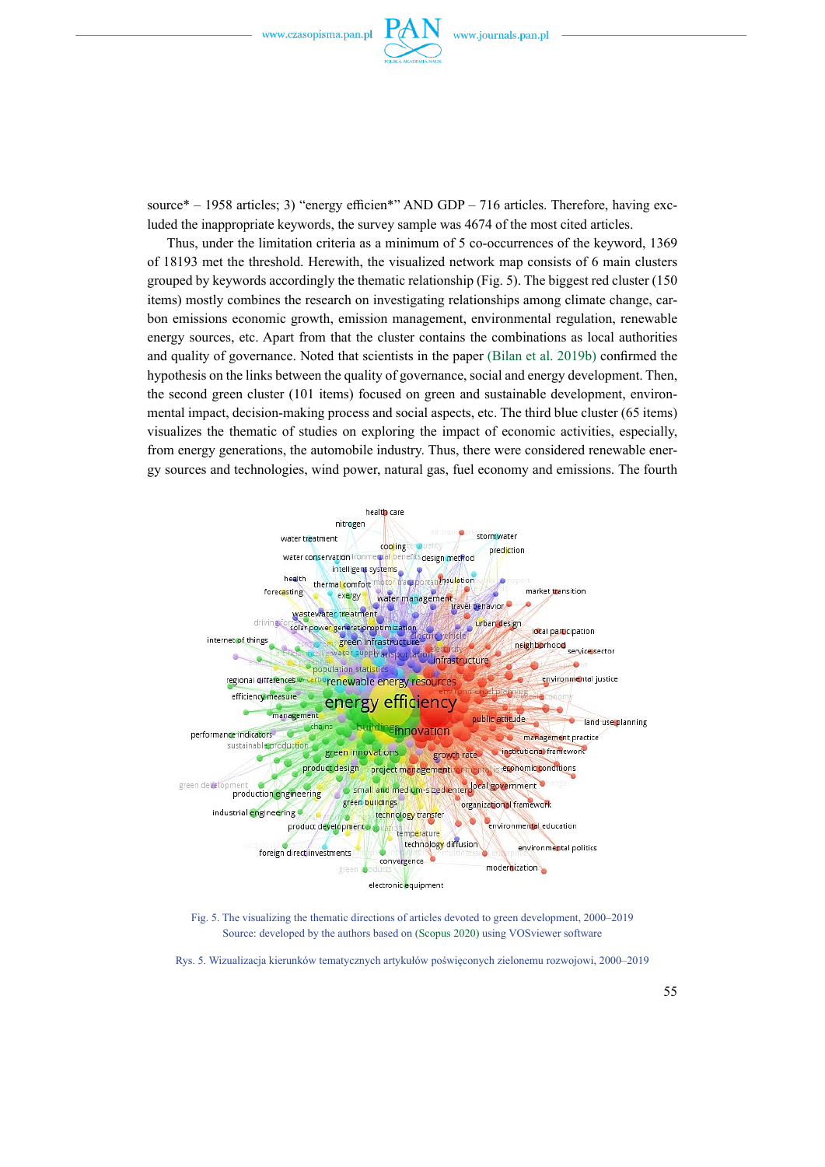

source\* – 1958 articles; 3) "energy efficien\*" AND GDP – 716 articles. Therefore, having excluded the inappropriate keywords, the survey sample was 4674 of the most cited articles.

Thus, under the limitation criteria as a minimum of 5 co-occurrences of the keyword, 1369 of 18193 met the threshold. Herewith, the visualized network map consists of 6 main clusters grouped by keywords accordingly the thematic relationship (Fig. 5). The biggest red cluster (150 items) mostly combines the research on investigating relationships among climate change, carbon emissions economic growth, emission management, environmental regulation, renewable energy sources, etc. Apart from that the cluster contains the combinations as local authorities and quality of governance. Noted that scientists in the paper (Bilan et al. 2019b) confirmed the hypothesis on the links between the quality of governance, social and energy development. Then, the second green cluster (101 items) focused on green and sustainable development, environmental impact, decision-making process and social aspects, etc. The third blue cluster (65 items) visualizes the thematic of studies on exploring the impact of economic activities, especially, from energy generations, the automobile industry. Thus, there were considered renewable energy sources and technologies, wind power, natural gas, fuel economy and emissions. The fourth



Fig. 5. The visualizing the thematic directions of articles devoted to green development, 2000–2019 Source: developed by the authors based on (Scopus 2020) using VOSviewer software

Rys. 5. Wizualizacja kierunków tematycznych artykułów poświęconych zielonemu rozwojowi, 2000–2019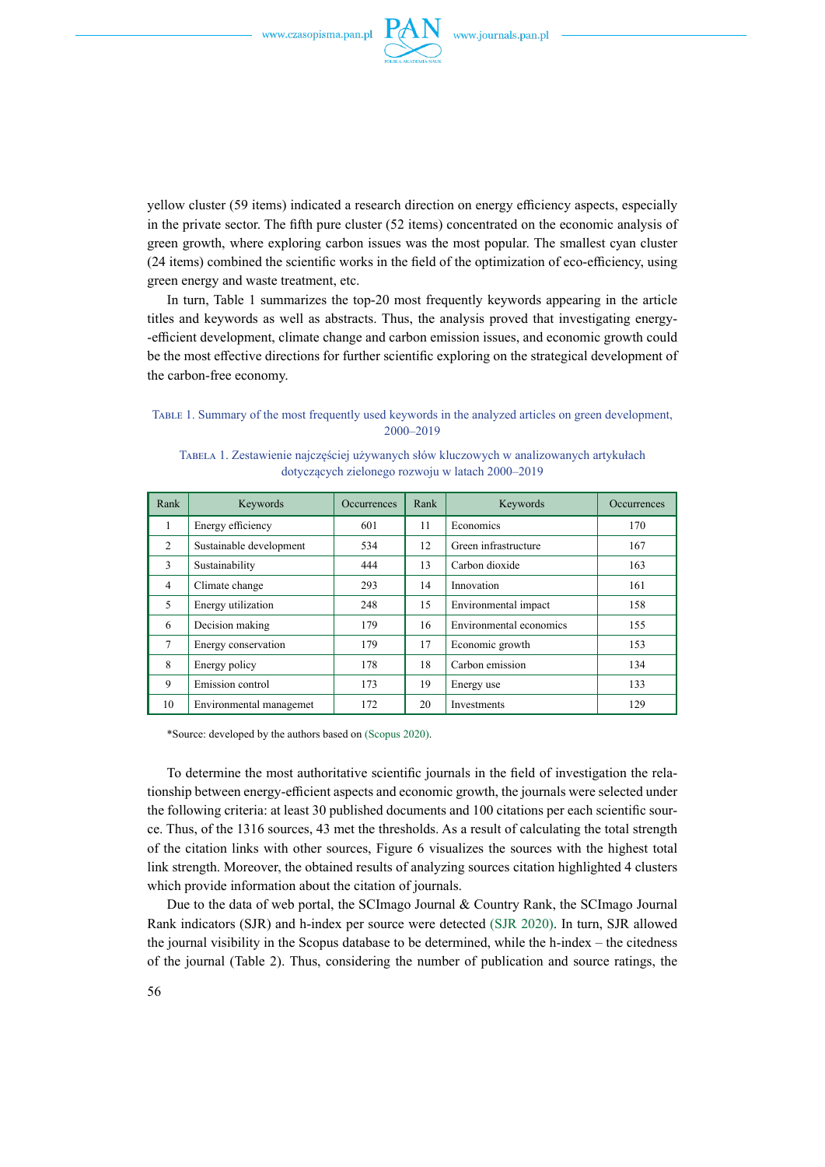

yellow cluster (59 items) indicated a research direction on energy efficiency aspects, especially in the private sector. The fifth pure cluster (52 items) concentrated on the economic analysis of green growth, where exploring carbon issues was the most popular. The smallest cyan cluster (24 items) combined the scientific works in the field of the optimization of eco-efficiency, using green energy and waste treatment, etc.

In turn, Table 1 summarizes the top-20 most frequently keywords appearing in the article titles and keywords as well as abstracts. Thus, the analysis proved that investigating energy- -efficient development, climate change and carbon emission issues, and economic growth could be the most effective directions for further scientific exploring on the strategical development of the carbon-free economy.

#### Table 1. Summary of the most frequently used keywords in the analyzed articles on green development, 2000–2019

| Rank           | Keywords                | <b>Occurrences</b> | Rank | Keywords                | <b>Occurrences</b> |
|----------------|-------------------------|--------------------|------|-------------------------|--------------------|
|                | Energy efficiency       | 601                | 11   | Economics               | 170                |
| 2              | Sustainable development | 534                | 12   | Green infrastructure    | 167                |
| 3              | Sustainability          | 444                | 13   | Carbon dioxide          | 163                |
| $\overline{4}$ | Climate change          | 293                | 14   | Innovation              | 161                |
| 5              | Energy utilization      | 248                | 15   | Environmental impact    | 158                |
| 6              | Decision making         | 179                | 16   | Environmental economics | 155                |
| 7              | Energy conservation     | 179                | 17   | Economic growth         | 153                |
| 8              | Energy policy           | 178                | 18   | Carbon emission         | 134                |
| 9              | Emission control        | 173                | 19   | Energy use              | 133                |
| 10             | Environmental managemet | 172                | 20   | Investments             | 129                |

Tabela 1. Zestawienie najczęściej używanych słów kluczowych w analizowanych artykułach dotyczących zielonego rozwoju w latach 2000–2019

\*Source: developed by the authors based on (Scopus 2020).

To determine the most authoritative scientific journals in the field of investigation the relationship between energy-efficient aspects and economic growth, the journals were selected under the following criteria: at least 30 published documents and 100 citations per each scientific source. Thus, of the 1316 sources, 43 met the thresholds. As a result of calculating the total strength of the citation links with other sources, Figure 6 visualizes the sources with the highest total link strength. Moreover, the obtained results of analyzing sources citation highlighted 4 clusters which provide information about the citation of journals.

Due to the data of web portal, the SCImago Journal & Country Rank, the SCImago Journal Rank indicators (SJR) and h-index per source were detected (SJR 2020). In turn, SJR allowed the journal visibility in the Scopus database to be determined, while the h-index – the citedness of the journal (Table 2). Thus, considering the number of publication and source ratings, the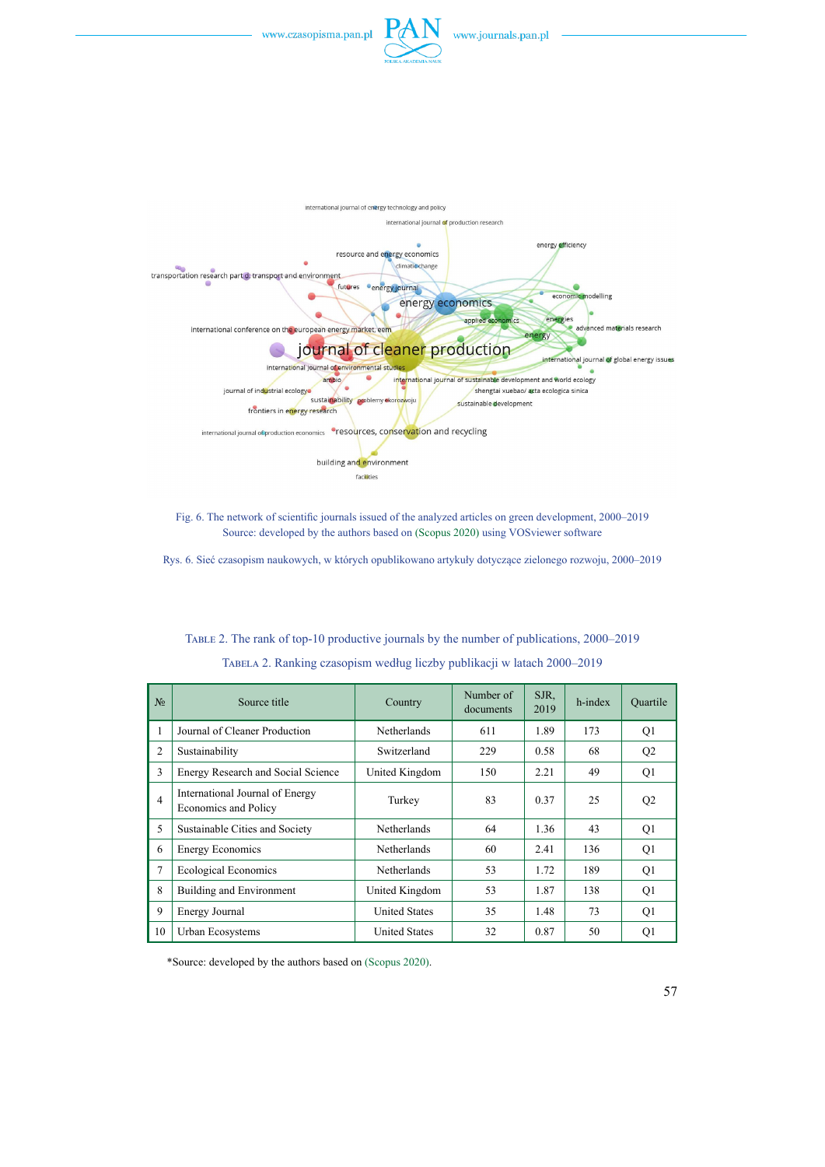



Fig. 6. The network of scientific journals issued of the analyzed articles on green development, 2000–2019 Source: developed by the authors based on (Scopus 2020) using VOSviewer software

Rys. 6. Sieć czasopism naukowych, w których opublikowano artykuły dotyczące zielonego rozwoju, 2000–2019

| N <sub>0</sub> | Source title                                            | Country              | Number of<br>documents | SJR.<br>2019 | h-index | Ouartile       |
|----------------|---------------------------------------------------------|----------------------|------------------------|--------------|---------|----------------|
|                | Journal of Cleaner Production                           | Netherlands          | 611                    | 1.89         | 173     | Q <sub>1</sub> |
| $\overline{2}$ | Sustainability                                          | Switzerland          | 229                    | 0.58         | 68      | Q <sub>2</sub> |
| 3              | Energy Research and Social Science                      | United Kingdom       | 150                    | 2.21         | 49      | Q <sub>1</sub> |
| $\overline{4}$ | International Journal of Energy<br>Economics and Policy | Turkey               | 83                     | 0.37         | 25      | Q <sub>2</sub> |
| 5              | Sustainable Cities and Society                          | Netherlands          | 64                     | 1.36         | 43      | Q <sub>1</sub> |
| 6              | <b>Energy Economics</b>                                 | Netherlands          | 60                     | 2.41         | 136     | Q <sub>1</sub> |
| 7              | <b>Ecological Economics</b>                             | Netherlands          | 53                     | 1.72         | 189     | Q <sub>1</sub> |
| 8              | Building and Environment                                | United Kingdom       | 53                     | 1.87         | 138     | Q <sub>1</sub> |
| 9              | Energy Journal                                          | <b>United States</b> | 35                     | 1.48         | 73      | Q <sub>1</sub> |
| 10             | Urban Ecosystems                                        | <b>United States</b> | 32                     | 0.87         | 50      | O <sub>1</sub> |

Table 2. The rank of top-10 productive journals by the number of publications, 2000–2019 Tabela 2. Ranking czasopism według liczby publikacji w latach 2000–2019

\*Source: developed by the authors based on (Scopus 2020).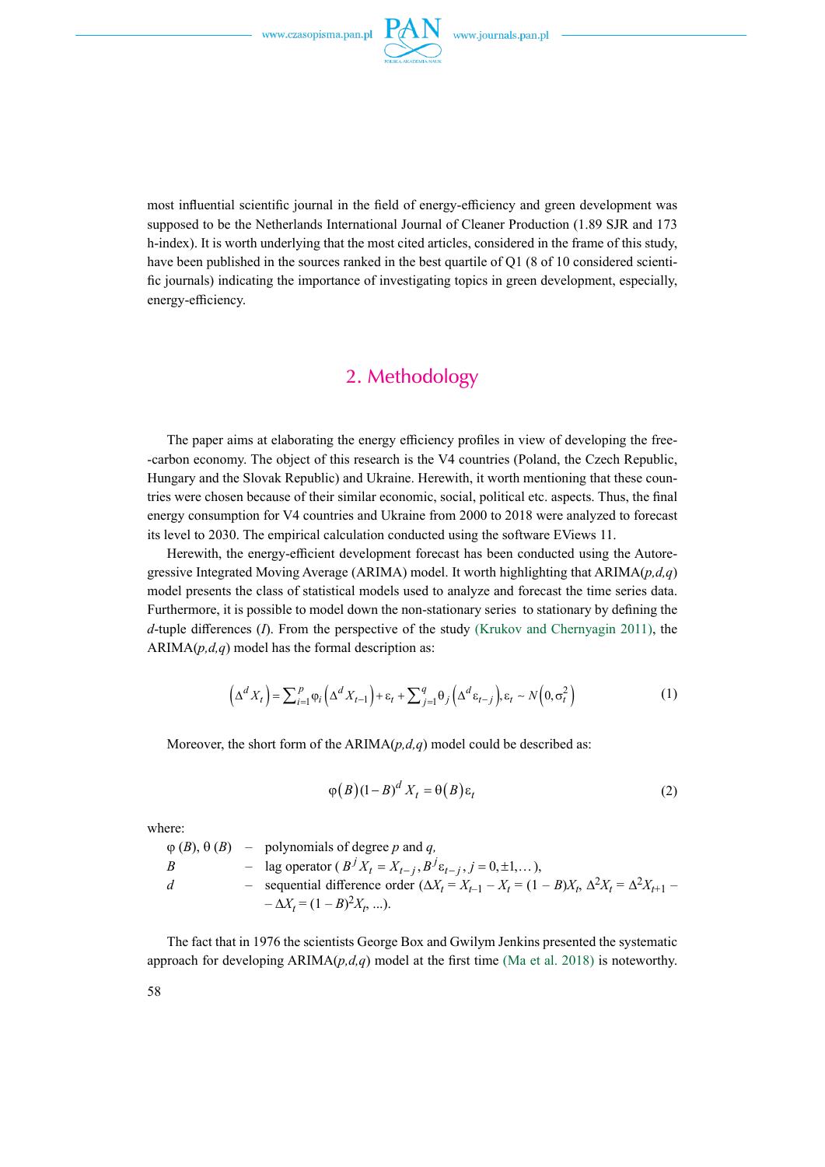

most influential scientific journal in the field of energy-efficiency and green development was supposed to be the Netherlands International Journal of Cleaner Production (1.89 SJR and 173 h-index). It is worth underlying that the most cited articles, considered in the frame of this study, have been published in the sources ranked in the best quartile of Q1 (8 of 10 considered scientific journals) indicating the importance of investigating topics in green development, especially, energy-efficiency.

## 2. Methodology

The paper aims at elaborating the energy efficiency profiles in view of developing the free- -carbon economy. The object of this research is the V4 countries (Poland, the Czech Republic, Hungary and the Slovak Republic) and Ukraine. Herewith, it worth mentioning that these countries were chosen because of their similar economic, social, political etc. aspects. Thus, the final energy consumption for V4 countries and Ukraine from 2000 to 2018 were analyzed to forecast its level to 2030. The empirical calculation conducted using the software EViews 11.

Herewith, the energy-efficient development forecast has been conducted using the Autoregressive Integrated Moving Average (ARIMA) model. It worth highlighting that ARIMA(*p,d,q*) model presents the class of statistical models used to analyze and forecast the time series data. Furthermore, it is possible to model down the non-stationary series to stationary by defining the *d*-tuple differences (*I*). From the perspective of the study (Krukov and Chernyagin 2011), the  $ARIMA(p,d,q)$  model has the formal description as:

$$
\left(\Delta^{d} X_{t}\right) = \sum_{i=1}^{p} \varphi_{i} \left(\Delta^{d} X_{t-1}\right) + \varepsilon_{t} + \sum_{j=1}^{q} \theta_{j} \left(\Delta^{d} \varepsilon_{t-j}\right), \varepsilon_{t} \sim N\left(0, \sigma_{t}^{2}\right)
$$
\n(1)

Moreover, the short form of the  $ARIMA(p,d,q)$  model could be described as:

$$
\varphi(B)(1-B)^d X_t = \theta(B)\varepsilon_t \tag{2}
$$

where:

 $\varphi$  (*B*),  $\theta$  (*B*) – polynomials of degree *p* and *q*, *B* – lag operator  $(B^{j} X_{t} = X_{t-j}, B^{j} \varepsilon_{t-j}, j = 0, \pm 1, ...),$ *d* – sequential difference order  $(\Delta X_t = X_{t-1} - X_t = (1 - B)X_t, \Delta^2 X_t = \Delta^2 X_{t+1}$  $-\Delta X_t = (1 - B)^2 X_t$ , ...).

The fact that in 1976 the scientists George Box and Gwilym Jenkins presented the systematic approach for developing  $ARIMA(p,d,q)$  model at the first time (Ma et al. 2018) is noteworthy.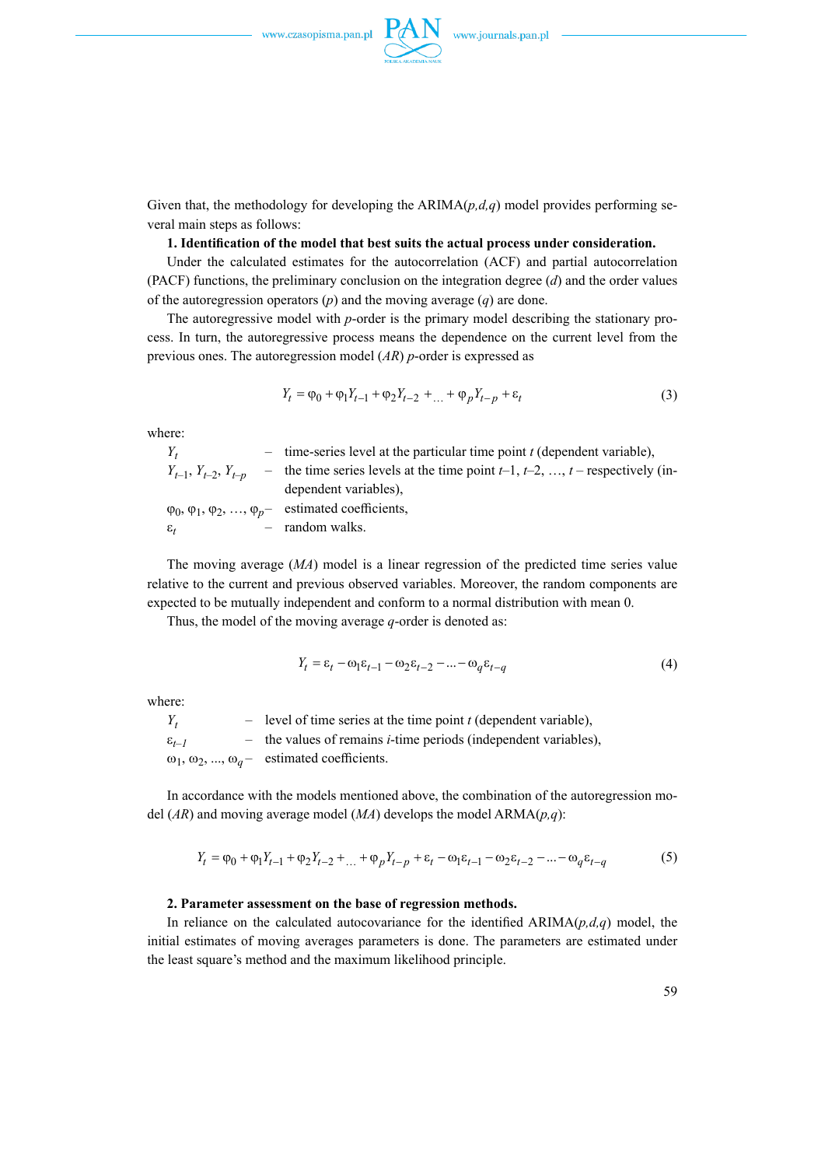

Given that, the methodology for developing the  $ARIMA(p,d,q)$  model provides performing several main steps as follows:

#### **1. Identification of the model that best suits the actual process under consideration.**

Under the calculated estimates for the autocorrelation (ACF) and partial autocorrelation (PACF) functions, the preliminary conclusion on the integration degree (*d*) and the order values of the autoregression operators (*p*) and the moving average (*q*) are done.

The autoregressive model with *p*-order is the primary model describing the stationary process. In turn, the autoregressive process means the dependence on the current level from the previous ones. The autoregression model (*AR*) *p*-order is expressed as

$$
Y_t = \varphi_0 + \varphi_1 Y_{t-1} + \varphi_2 Y_{t-2} + \dots + \varphi_p Y_{t-p} + \varepsilon_t
$$
\n(3)

where:

| $Y_t$                       | - time-series level at the particular time point $t$ (dependent variable),           |
|-----------------------------|--------------------------------------------------------------------------------------|
| $Y_{t-1}, Y_{t-2}, Y_{t-p}$ | - the time series levels at the time point $t-1$ , $t-2$ , , $t$ – respectively (in- |
|                             | dependent variables),                                                                |
|                             | $\varphi_0, \varphi_1, \varphi_2, , \varphi_p$ estimated coefficients,               |
| $\varepsilon_{t}$           | - random walks.                                                                      |

The moving average (*MA*) model is a linear regression of the predicted time series value relative to the current and previous observed variables. Moreover, the random components are expected to be mutually independent and conform to a normal distribution with mean 0.

Thus, the model of the moving average *q*-order is denoted as:

$$
Y_t = \varepsilon_t - \omega_1 \varepsilon_{t-1} - \omega_2 \varepsilon_{t-2} - \dots - \omega_q \varepsilon_{t-q}
$$
\n<sup>(4)</sup>

where:

| $Y_t$               | $-$ level of time series at the time point t (dependent variable),        |
|---------------------|---------------------------------------------------------------------------|
| $\varepsilon_{t-1}$ | $-$ the values of remains <i>i</i> -time periods (independent variables), |
|                     | $\omega_1, \omega_2, , \omega_q$ estimated coefficients.                  |

In accordance with the models mentioned above, the combination of the autoregression model (*AR*) and moving average model (*MA*) develops the model ARMA(*p,q*):

$$
Y_t = \varphi_0 + \varphi_1 Y_{t-1} + \varphi_2 Y_{t-2} + \dots + \varphi_p Y_{t-p} + \varepsilon_t - \omega_1 \varepsilon_{t-1} - \omega_2 \varepsilon_{t-2} - \dots - \omega_q \varepsilon_{t-q}
$$
(5)

#### **2. Parameter assessment on the base of regression methods.**

In reliance on the calculated autocovariance for the identified  $ARIMA(p,d,q)$  model, the initial estimates of moving averages parameters is done. The parameters are estimated under the least square's method and the maximum likelihood principle.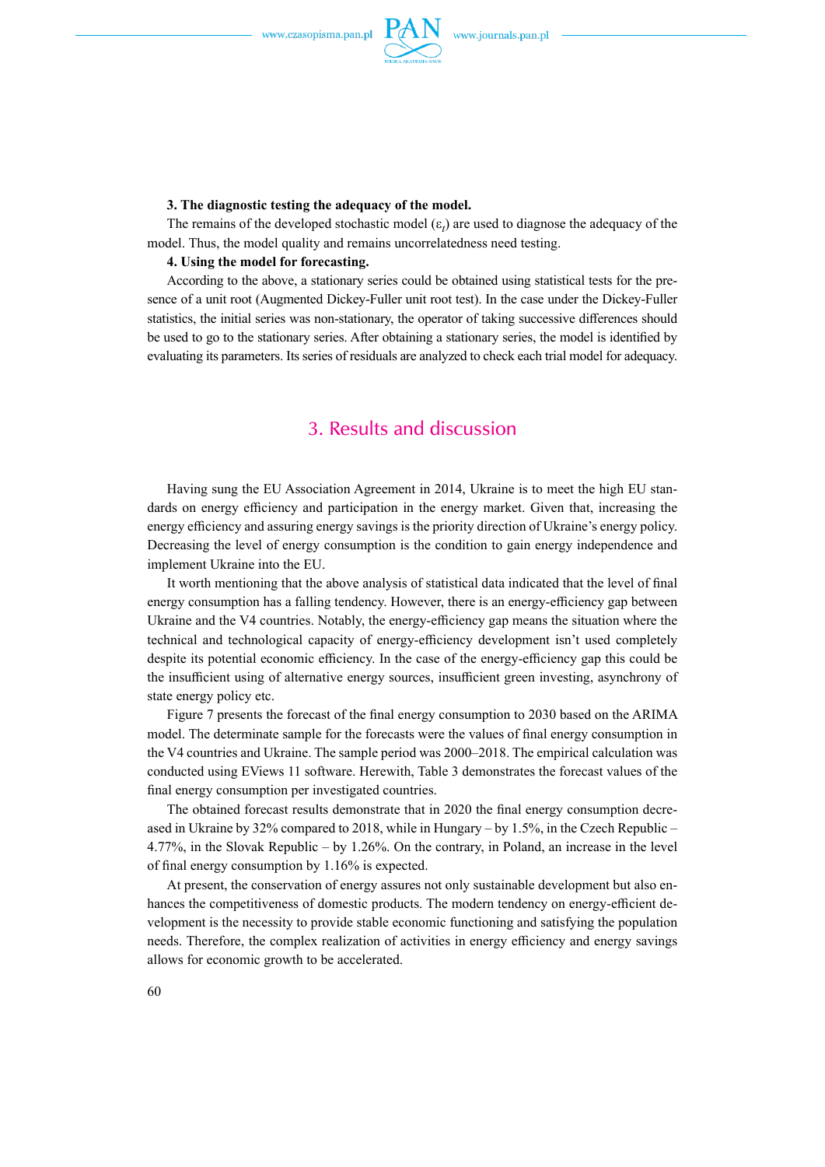

#### **3. The diagnostic testing the adequacy of the model.**

The remains of the developed stochastic model  $(\varepsilon_t)$  are used to diagnose the adequacy of the model. Thus, the model quality and remains uncorrelatedness need testing.

#### **4. Using the model for forecasting.**

According to the above, a stationary series could be obtained using statistical tests for the presence of a unit root (Augmented Dickey-Fuller unit root test). In the case under the Dickey-Fuller statistics, the initial series was non-stationary, the operator of taking successive differences should be used to go to the stationary series. After obtaining a stationary series, the model is identified by evaluating its parameters. Its series of residuals are analyzed to check each trial model for adequacy.

### 3. Results and discussion

Having sung the EU Association Agreement in 2014, Ukraine is to meet the high EU standards on energy efficiency and participation in the energy market. Given that, increasing the energy efficiency and assuring energy savings is the priority direction of Ukraine's energy policy. Decreasing the level of energy consumption is the condition to gain energy independence and implement Ukraine into the EU.

It worth mentioning that the above analysis of statistical data indicated that the level of final energy consumption has a falling tendency. However, there is an energy-efficiency gap between Ukraine and the V4 countries. Notably, the energy-efficiency gap means the situation where the technical and technological capacity of energy-efficiency development isn't used completely despite its potential economic efficiency. In the case of the energy-efficiency gap this could be the insufficient using of alternative energy sources, insufficient green investing, asynchrony of state energy policy etc.

Figure 7 presents the forecast of the final energy consumption to 2030 based on the ARIMA model. The determinate sample for the forecasts were the values of final energy consumption in the V4 countries and Ukraine. The sample period was 2000–2018. The empirical calculation was conducted using EViews 11 software. Herewith, Table 3 demonstrates the forecast values of the final energy consumption per investigated countries.

The obtained forecast results demonstrate that in 2020 the final energy consumption decreased in Ukraine by 32% compared to 2018, while in Hungary – by 1.5%, in the Czech Republic – 4.77%, in the Slovak Republic – by 1.26%. On the contrary, in Poland, an increase in the level of final energy consumption by 1.16% is expected.

At present, the conservation of energy assures not only sustainable development but also enhances the competitiveness of domestic products. The modern tendency on energy-efficient development is the necessity to provide stable economic functioning and satisfying the population needs. Therefore, the complex realization of activities in energy efficiency and energy savings allows for economic growth to be accelerated.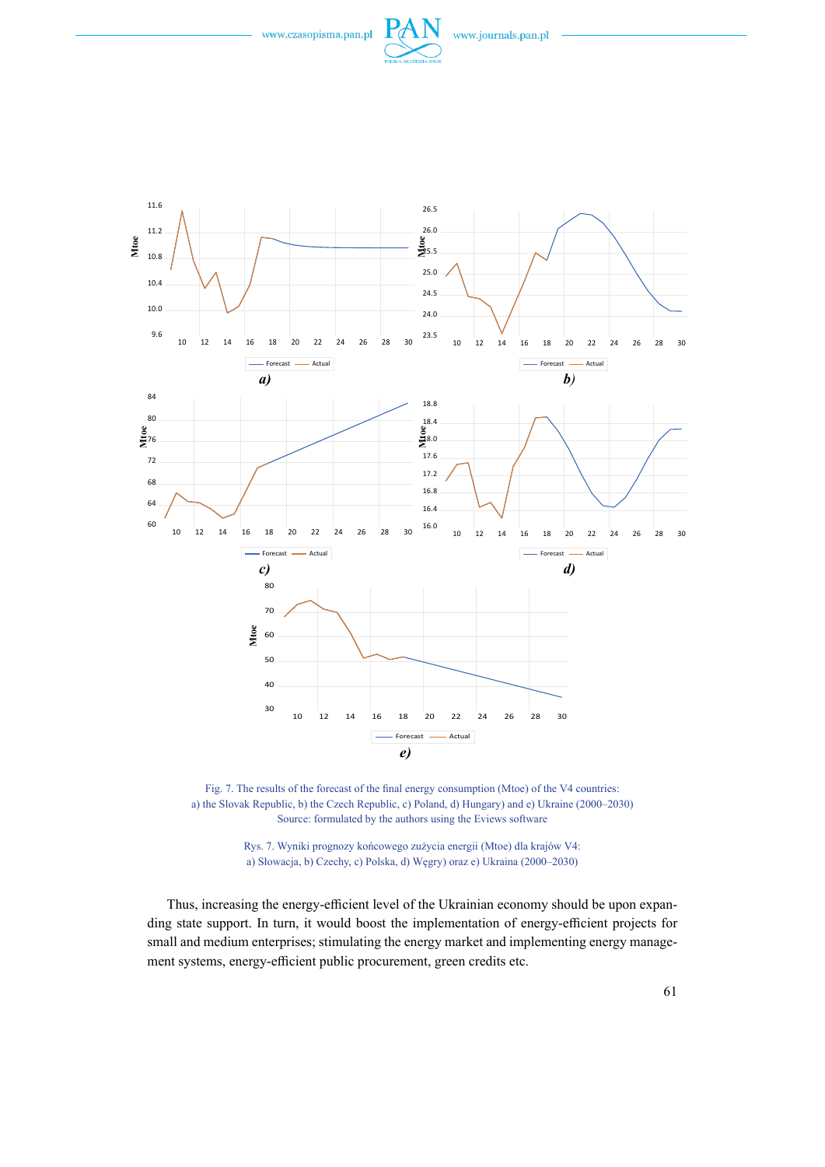





Rys. 7. Wyniki prognozy końcowego zużycia energii (Mtoe) dla krajów V4: a) Słowacja, b) Czechy, c) Polska, d) Węgry) oraz e) Ukraina (2000–2030)

Thus, increasing the energy-efficient level of the Ukrainian economy should be upon expanding state support. In turn, it would boost the implementation of energy-efficient projects for small and medium enterprises; stimulating the energy market and implementing energy management systems, energy-efficient public procurement, green credits etc.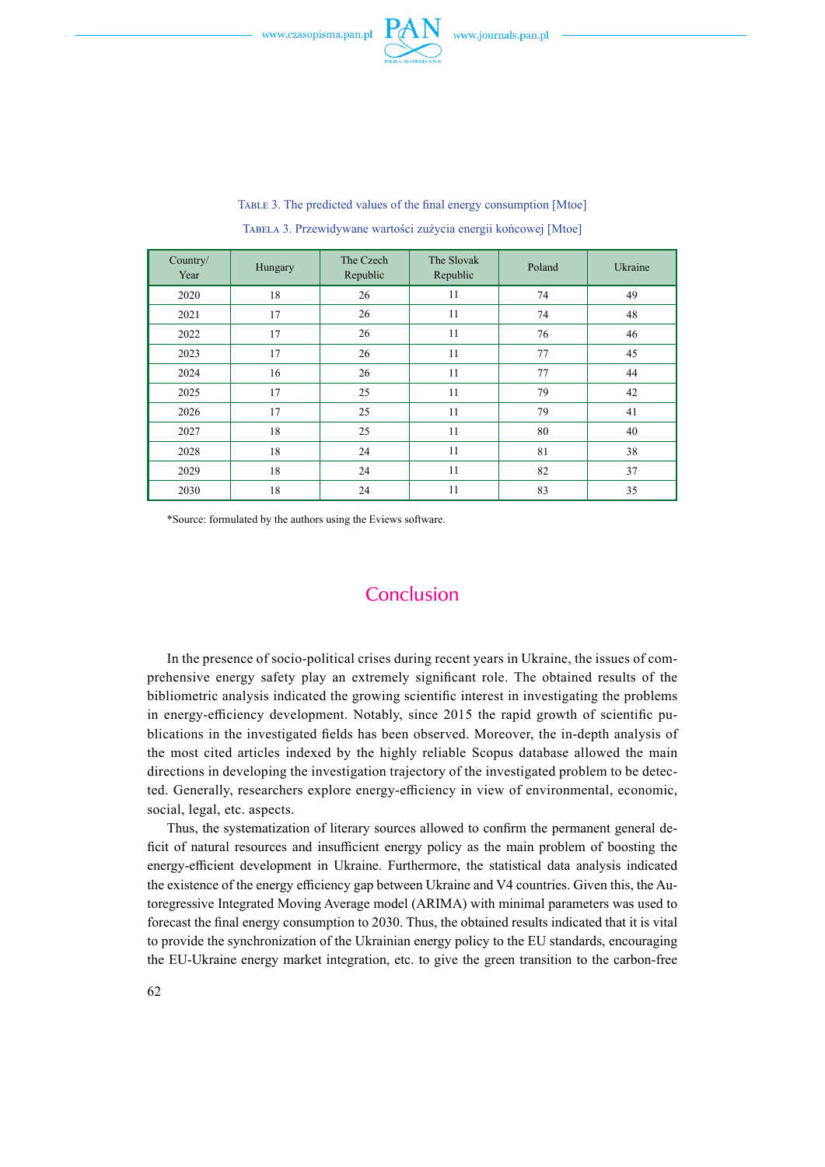

| Country/<br>Year | Hungary | The Czech<br>Republic | The Slovak<br>Republic | Poland | Ukraine |
|------------------|---------|-----------------------|------------------------|--------|---------|
| 2020             | 18      | 26                    | 11                     | 74     | 49      |
| 2021             | 17      | 26                    | 11                     | 74     | 48      |
| 2022             | 17      | 26                    | 11                     | 76     | 46      |
| 2023             | 17      | 26                    | 11                     | 77     | 45      |
| 2024             | 16      | 26                    | 11                     | 77     | 44      |
| 2025             | 17      | 25                    | 11                     | 79     | 42      |
| 2026             | 17      | 25                    | 11                     | 79     | 41      |
| 2027             | 18      | 25                    | 11                     | 80     | 40      |
| 2028             | 18      | 24                    | 11                     | 81     | 38      |
| 2029             | 18      | 24                    | 11                     | 82     | 37      |
| 2030             | 18      | 24                    | 11                     | 83     | 35      |

Table 3. The predicted values of the final energy consumption [Mtoe] Tabela 3. Przewidywane wartości zużycia energii końcowej [Mtoe]

\*Source: formulated by the authors using the Eviews software.

# **Conclusion**

In the presence of socio-political crises during recent years in Ukraine, the issues of comprehensive energy safety play an extremely significant role. The obtained results of the bibliometric analysis indicated the growing scientific interest in investigating the problems in energy-efficiency development. Notably, since 2015 the rapid growth of scientific publications in the investigated fields has been observed. Moreover, the in-depth analysis of the most cited articles indexed by the highly reliable Scopus database allowed the main directions in developing the investigation trajectory of the investigated problem to be detected. Generally, researchers explore energy-efficiency in view of environmental, economic, social, legal, etc. aspects.

Thus, the systematization of literary sources allowed to confirm the permanent general deficit of natural resources and insufficient energy policy as the main problem of boosting the energy-efficient development in Ukraine. Furthermore, the statistical data analysis indicated the existence of the energy efficiency gap between Ukraine and V4 countries. Given this, the Autoregressive Integrated Moving Average model (ARIMA) with minimal parameters was used to forecast the final energy consumption to 2030. Thus, the obtained results indicated that it is vital to provide the synchronization of the Ukrainian energy policy to the EU standards, encouraging the EU-Ukraine energy market integration, etc. to give the green transition to the carbon-free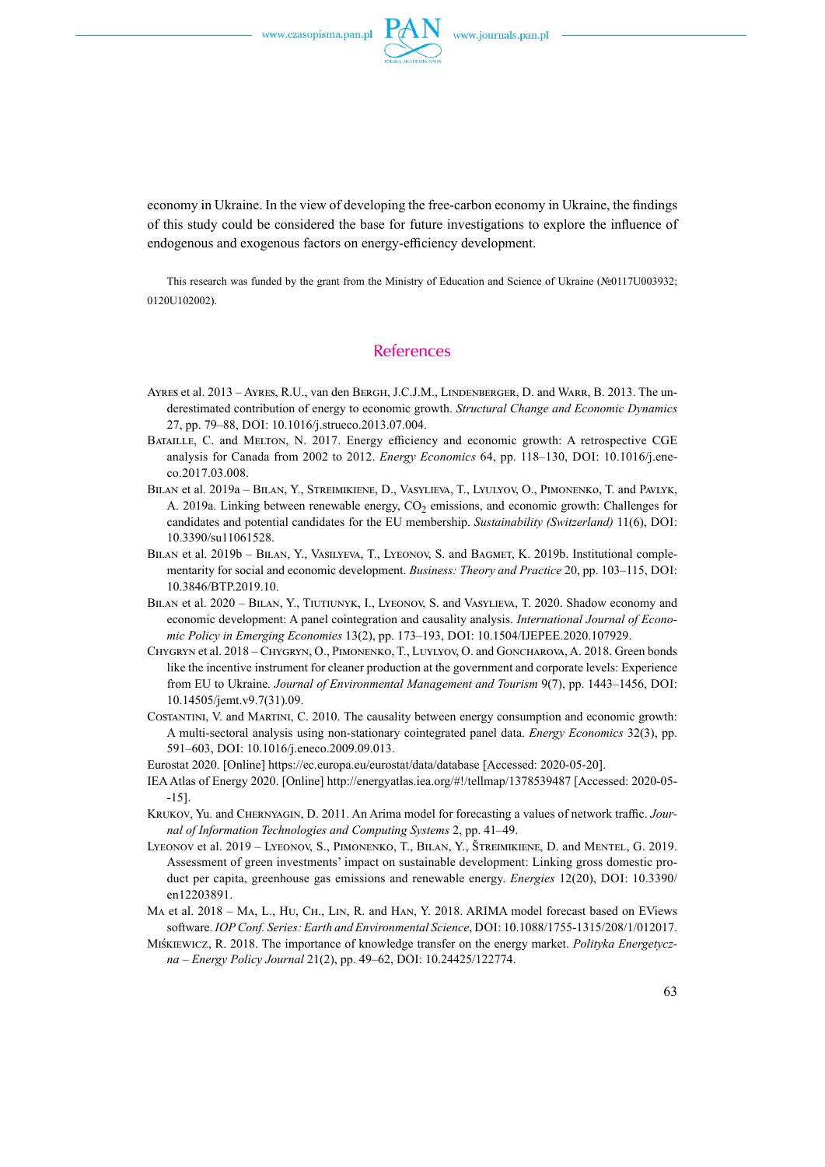

economy in Ukraine. In the view of developing the free-carbon economy in Ukraine, the findings of this study could be considered the base for future investigations to explore the influence of endogenous and exogenous factors on energy-efficiency development.

This research was funded by the grant from the Ministry of Education and Science of Ukraine (№0117U003932; 0120U102002).

### **References**

- Ayres et al. 2013 Ayres, R.U., van den Bergh, J.C.J.M., Lindenberger, D. and Warr, B. 2013. The underestimated contribution of energy to economic growth. *Structural Change and Economic Dynamics* 27, pp. 79-88, DOI: 10.1016/j.strueco.2013.07.004.
- Bataille, C. and Melton, N. 2017. Energy efficiency and economic growth: A retrospective CGE analysis for Canada from 2002 to 2012. *Energy Economics* 64, pp. 118–130, DOI: 10.1016/j.eneco.2017.03.008.
- Bilan et al. 2019a Bilan, Y., Streimikiene, D., Vasylieva, T., Lyulyov, O., Pimonenko, T. and Pavlyk, A. 2019a. Linking between renewable energy,  $CO<sub>2</sub>$  emissions, and economic growth: Challenges for candidates and potential candidates for the EU membership. *Sustainability (Switzerland)* 11(6), DOI: 10.3390/su11061528.
- BILAN et al. 2019b BILAN, Y., VASILYEVA, T., LYEONOV, S. and BAGMET, K. 2019b. Institutional complementarity for social and economic development. *Business: Theory and Practice* 20, pp. 103-115, DOI: 10.3846/BTP.2019.10.
- Bilan et al. 2020 Bilan, Y., Tiutiunyk, I., Lyeonov, S. and Vasylieva, T. 2020. Shadow economy and economic development: A panel cointegration and causality analysis. *International Journal of Economic Policy in Emerging Economies* 13(2), pp. 173-193, DOI: 10.1504/IJEPEE.2020.107929.
- Chygryn et al. 2018 Chygryn, O., Pimonenko, T., Luylyov, O. and Goncharova, A. 2018. Green bonds like the incentive instrument for cleaner production at the government and corporate levels: Experience from EU to Ukraine. Journal of Environmental Management and Tourism 9(7), pp. 1443–1456, DOI: 10.14505/jemt.v9.7(31).09.
- Costantini, V. and Martini, C. 2010. The causality between energy consumption and economic growth: A multi-sectoral analysis using non-stationary cointegrated panel data. *Energy Economics* 32(3), pp. 591–603, DOI: 10.1016/j.eneco.2009.09.013.
- Eurostat 2020. [Online] <https://ec.europa.eu/eurostat/data/database> [Accessed: 2020-05-20].
- IEA Atlas of Energy 2020. [Online] http://energyatlas.iea.org/#!/tellmap/1378539487 [Accessed: 2020-05- -15].
- Krukov, Yu. and Chernyagin, D. 2011. An Arima model for forecasting a values of network traffic. *Journal of Information Technologies and Computing Systems* 2, pp. 41–49.
- Lyeonov et al. 2019 Lyeonov, S., Pimonenko, T., Bilan, Y., Štreimikiene, D. and Mentel, G. 2019. Assessment of green investments' impact on sustainable development: Linking gross domestic product per capita, greenhouse gas emissions and renewable energy. *Energies* 12(20), DOI: 10.3390/ en12203891.
- Ma et al. 2018 Ma, L., Hu, Ch., Lin, R. and Han, Y. 2018. ARIMA model forecast based on EViews software. *IOP Conf. Series: Earth and Environmental Science*, DOI: 10.1088/1755-1315/208/1/012017.
- Miśkiewicz, R. 2018. The importance of knowledge transfer on the energy market. *Polityka Energetyczna – Energy Policy Journal* 21(2), pp. 49–62, DOI: 10.24425/122774.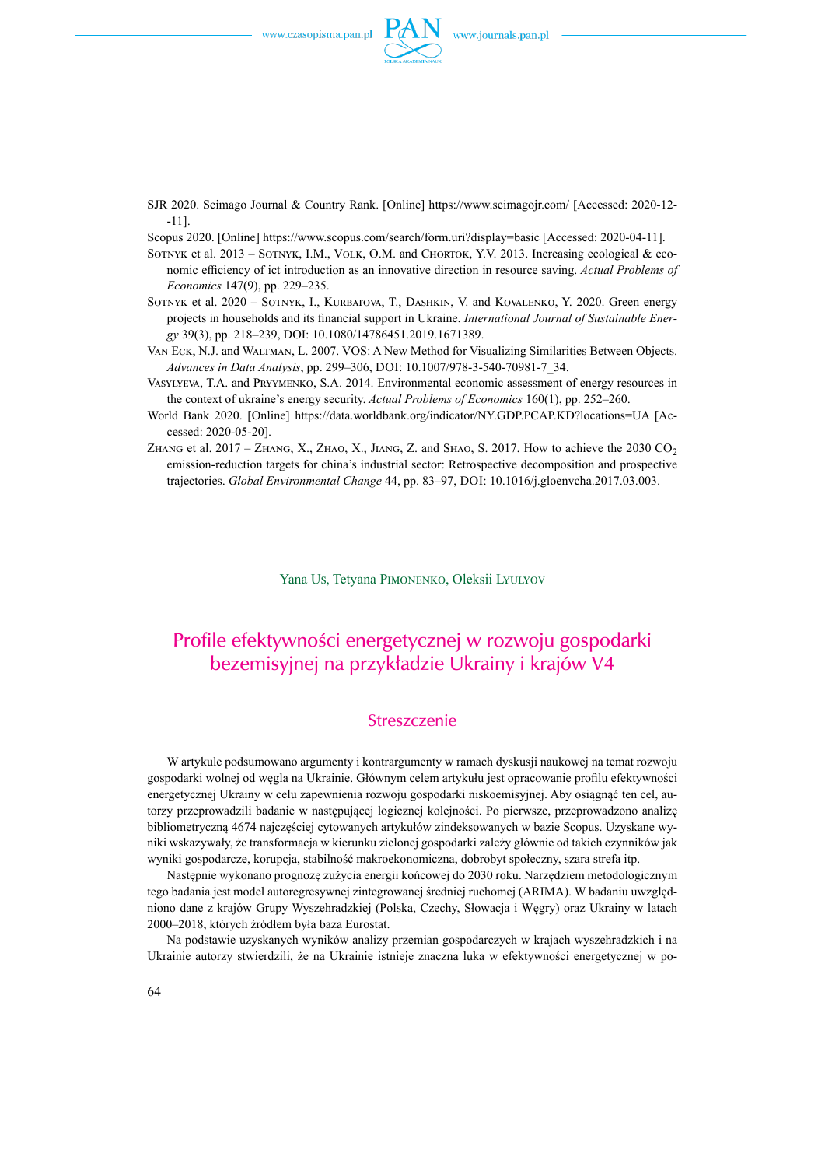

SJR 2020. Scimago Journal & Country Rank. [Online] <https://www.scimagojr.com/> [Accessed: 2020-12- -11].

Scopus 2020. [Online] <https://www.scopus.com/search/form.uri?display=basic> [Accessed: 2020-04-11].

- SOTNYK et al. 2013 SOTNYK, I.M., VOLK, O.M. and CHORTOK, Y.V. 2013. Increasing ecological & economic efficiency of ict introduction as an innovative direction in resource saving. *Actual Problems of Economics* 147(9), pp. 229–235.
- Sotnyk et al. 2020 Sotnyk, I., Kurbatova, T., Dashkin, V. and Kovalenko, Y. 2020. Green energy projects in households and its financial support in Ukraine. *International Journal of Sustainable Energy* 39(3), pp. 218–239, DOI: 10.1080/14786451.2019.1671389.
- Van Eck, N.J. and Waltman, L. 2007. VOS: A New Method for Visualizing Similarities Between Objects. Advances in Data Analysis, pp. 299-306, DOI: 10.1007/978-3-540-70981-7\_34.
- Vasylyeva, T.A. and Pryymenko, S.A. 2014. Environmental economic assessment of energy resources in the context of ukraine's energy security. *Actual Problems of Economics* 160(1), pp. 252–260.
- World Bank 2020. [Online] <https://data.worldbank.org/indicator/NY.GDP.PCAP.KD?locations=UA>[Accessed: 2020-05-20].
- ZHANG et al.  $2017 ZH$ ANG, X., ZHAO, X., JIANG, Z. and SHAO, S. 2017. How to achieve the 2030 CO<sub>2</sub> emission-reduction targets for china's industrial sector: Retrospective decomposition and prospective trajectories. *Global Environmental Change* 44, pp. 83–97, DOI: 10.1016/j.gloenvcha.2017.03.003.

Yana Us, Tetyana Pimonenko, Oleksii Lyulyov

# Profile efektywności energetycznej w rozwoju gospodarki bezemisyjnej na przykładzie Ukrainy i krajów V4

### Streszczenie

W artykule podsumowano argumenty i kontrargumenty w ramach dyskusji naukowej na temat rozwoju gospodarki wolnej od węgla na Ukrainie. Głównym celem artykułu jest opracowanie profilu efektywności energetycznej Ukrainy w celu zapewnienia rozwoju gospodarki niskoemisyjnej. Aby osiągnąć ten cel, autorzy przeprowadzili badanie w następującej logicznej kolejności. Po pierwsze, przeprowadzono analizę bibliometryczną 4674 najczęściej cytowanych artykułów zindeksowanych w bazie Scopus. Uzyskane wyniki wskazywały, że transformacja w kierunku zielonej gospodarki zależy głównie od takich czynników jak wyniki gospodarcze, korupcja, stabilność makroekonomiczna, dobrobyt społeczny, szara strefa itp.

Następnie wykonano prognozę zużycia energii końcowej do 2030 roku. Narzędziem metodologicznym tego badania jest model autoregresywnej zintegrowanej średniej ruchomej (ARIMA). W badaniu uwzględniono dane z krajów Grupy Wyszehradzkiej (Polska, Czechy, Słowacja i Węgry) oraz Ukrainy w latach 2000–2018, których źródłem była baza Eurostat.

Na podstawie uzyskanych wyników analizy przemian gospodarczych w krajach wyszehradzkich i na Ukrainie autorzy stwierdzili, że na Ukrainie istnieje znaczna luka w efektywności energetycznej w po-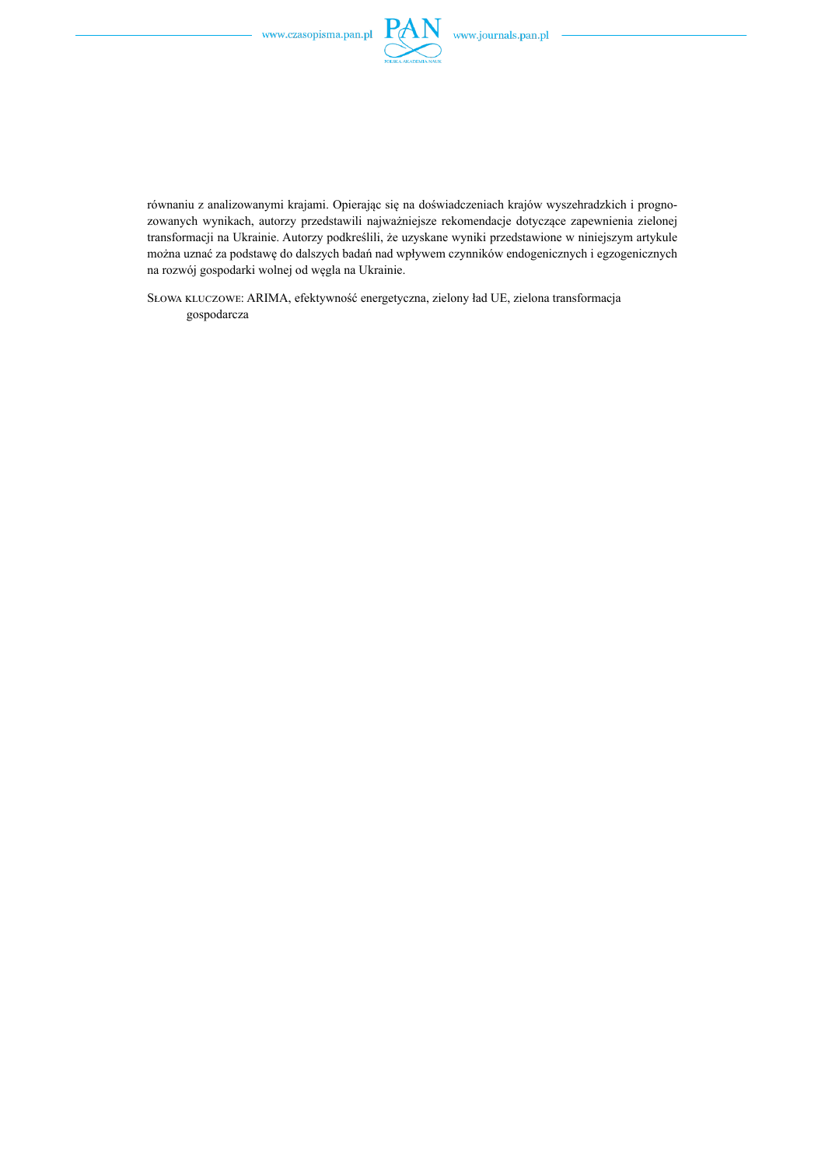

równaniu z analizowanymi krajami. Opierając się na doświadczeniach krajów wyszehradzkich i prognozowanych wynikach, autorzy przedstawili najważniejsze rekomendacje dotyczące zapewnienia zielonej transformacji na Ukrainie. Autorzy podkreślili, że uzyskane wyniki przedstawione w niniejszym artykule można uznać za podstawę do dalszych badań nad wpływem czynników endogenicznych i egzogenicznych na rozwój gospodarki wolnej od węgla na Ukrainie.

Słowa kluczowe: ARIMA, efektywność energetyczna, zielony ład UE, zielona transformacja gospodarcza